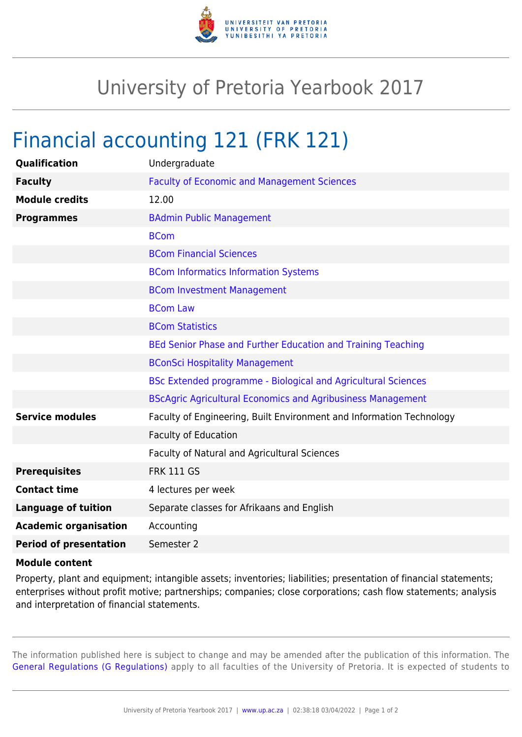

## University of Pretoria Yearbook 2017

## Financial accounting 121 (FRK 121)

| Qualification                 | Undergraduate                                                        |
|-------------------------------|----------------------------------------------------------------------|
| <b>Faculty</b>                | <b>Faculty of Economic and Management Sciences</b>                   |
| <b>Module credits</b>         | 12.00                                                                |
| <b>Programmes</b>             | <b>BAdmin Public Management</b>                                      |
|                               | <b>BCom</b>                                                          |
|                               | <b>BCom Financial Sciences</b>                                       |
|                               | <b>BCom Informatics Information Systems</b>                          |
|                               | <b>BCom Investment Management</b>                                    |
|                               | <b>BCom Law</b>                                                      |
|                               | <b>BCom Statistics</b>                                               |
|                               | BEd Senior Phase and Further Education and Training Teaching         |
|                               | <b>BConSci Hospitality Management</b>                                |
|                               | BSc Extended programme - Biological and Agricultural Sciences        |
|                               | <b>BScAgric Agricultural Economics and Agribusiness Management</b>   |
| <b>Service modules</b>        | Faculty of Engineering, Built Environment and Information Technology |
|                               | <b>Faculty of Education</b>                                          |
|                               | Faculty of Natural and Agricultural Sciences                         |
| <b>Prerequisites</b>          | <b>FRK 111 GS</b>                                                    |
| <b>Contact time</b>           | 4 lectures per week                                                  |
| <b>Language of tuition</b>    | Separate classes for Afrikaans and English                           |
| <b>Academic organisation</b>  | Accounting                                                           |
| <b>Period of presentation</b> | Semester 2                                                           |
|                               |                                                                      |

## **Module content**

Property, plant and equipment; intangible assets; inventories; liabilities; presentation of financial statements; enterprises without profit motive; partnerships; companies; close corporations; cash flow statements; analysis and interpretation of financial statements.

The information published here is subject to change and may be amended after the publication of this information. The [General Regulations \(G Regulations\)](https://www.up.ac.za/yearbooks/2017/rules/view/REG) apply to all faculties of the University of Pretoria. It is expected of students to